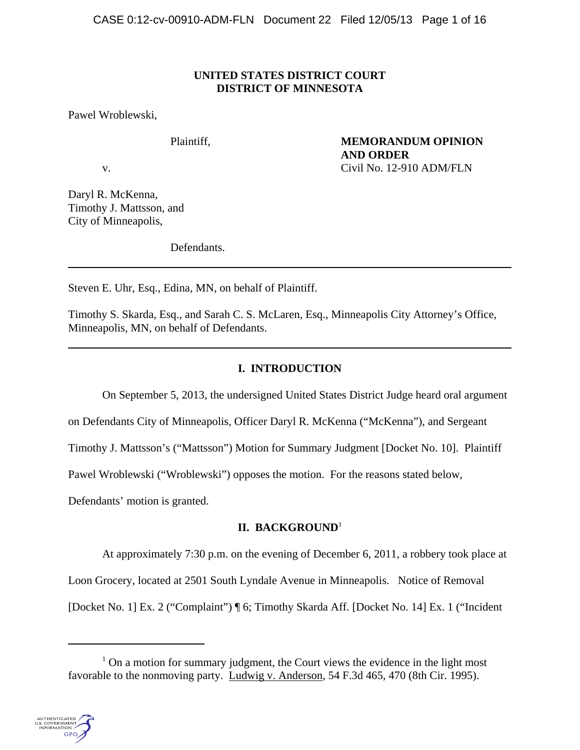## **UNITED STATES DISTRICT COURT DISTRICT OF MINNESOTA**

Pawel Wroblewski,

Plaintiff, **MEMORANDUM OPINION AND ORDER** v. Civil No. 12-910 ADM/FLN

Daryl R. McKenna, Timothy J. Mattsson, and City of Minneapolis,

Defendants.

Steven E. Uhr, Esq., Edina, MN, on behalf of Plaintiff.

Timothy S. Skarda, Esq., and Sarah C. S. McLaren, Esq., Minneapolis City Attorney's Office, Minneapolis, MN, on behalf of Defendants.

# **I. INTRODUCTION**

On September 5, 2013, the undersigned United States District Judge heard oral argument

on Defendants City of Minneapolis, Officer Daryl R. McKenna ("McKenna"), and Sergeant

Timothy J. Mattsson's ("Mattsson") Motion for Summary Judgment [Docket No. 10]. Plaintiff

Pawel Wroblewski ("Wroblewski") opposes the motion. For the reasons stated below,

Defendants' motion is granted.

## **II. BACKGROUND**<sup>1</sup>

At approximately 7:30 p.m. on the evening of December 6, 2011, a robbery took place at

Loon Grocery, located at 2501 South Lyndale Avenue in Minneapolis. Notice of Removal

[Docket No. 1] Ex. 2 ("Complaint") ¶ 6; Timothy Skarda Aff. [Docket No. 14] Ex. 1 ("Incident

 $<sup>1</sup>$  On a motion for summary judgment, the Court views the evidence in the light most</sup> favorable to the nonmoving party. Ludwig v. Anderson, 54 F.3d 465, 470 (8th Cir. 1995).

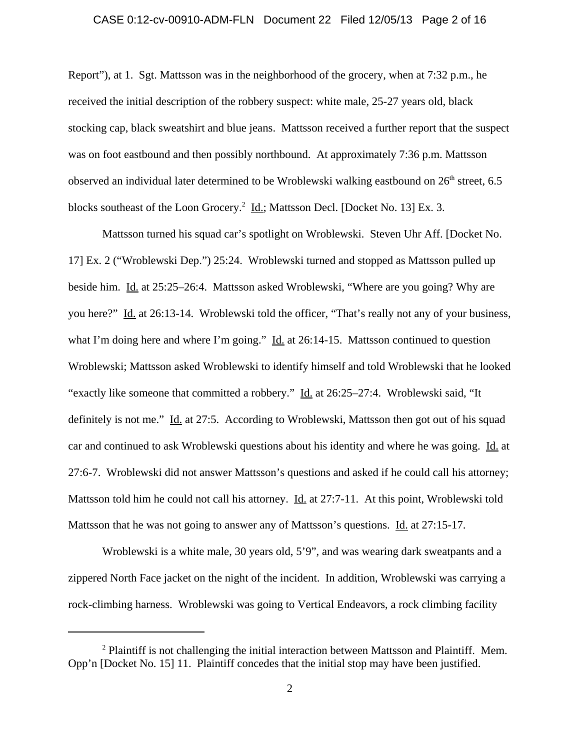## CASE 0:12-cv-00910-ADM-FLN Document 22 Filed 12/05/13 Page 2 of 16

Report"), at 1. Sgt. Mattsson was in the neighborhood of the grocery, when at 7:32 p.m., he received the initial description of the robbery suspect: white male, 25-27 years old, black stocking cap, black sweatshirt and blue jeans. Mattsson received a further report that the suspect was on foot eastbound and then possibly northbound. At approximately 7:36 p.m. Mattsson observed an individual later determined to be Wroblewski walking eastbound on  $26<sup>th</sup>$  street, 6.5 blocks southeast of the Loon Grocery.<sup>2</sup> Id.; Mattsson Decl. [Docket No. 13] Ex. 3.

Mattsson turned his squad car's spotlight on Wroblewski. Steven Uhr Aff. [Docket No. 17] Ex. 2 ("Wroblewski Dep.") 25:24. Wroblewski turned and stopped as Mattsson pulled up beside him. Id. at 25:25–26:4. Mattsson asked Wroblewski, "Where are you going? Why are you here?" Id. at 26:13-14. Wroblewski told the officer, "That's really not any of your business, what I'm doing here and where I'm going." Id. at 26:14-15. Mattsson continued to question Wroblewski; Mattsson asked Wroblewski to identify himself and told Wroblewski that he looked "exactly like someone that committed a robbery." Id. at 26:25–27:4. Wroblewski said, "It definitely is not me." Id. at 27:5. According to Wroblewski, Mattsson then got out of his squad car and continued to ask Wroblewski questions about his identity and where he was going. Id. at 27:6-7. Wroblewski did not answer Mattsson's questions and asked if he could call his attorney; Mattsson told him he could not call his attorney. Id. at 27:7-11. At this point, Wroblewski told Mattsson that he was not going to answer any of Mattsson's questions. Id. at 27:15-17.

Wroblewski is a white male, 30 years old, 5'9", and was wearing dark sweatpants and a zippered North Face jacket on the night of the incident. In addition, Wroblewski was carrying a rock-climbing harness. Wroblewski was going to Vertical Endeavors, a rock climbing facility

 $2$  Plaintiff is not challenging the initial interaction between Mattsson and Plaintiff. Mem. Opp'n [Docket No. 15] 11. Plaintiff concedes that the initial stop may have been justified.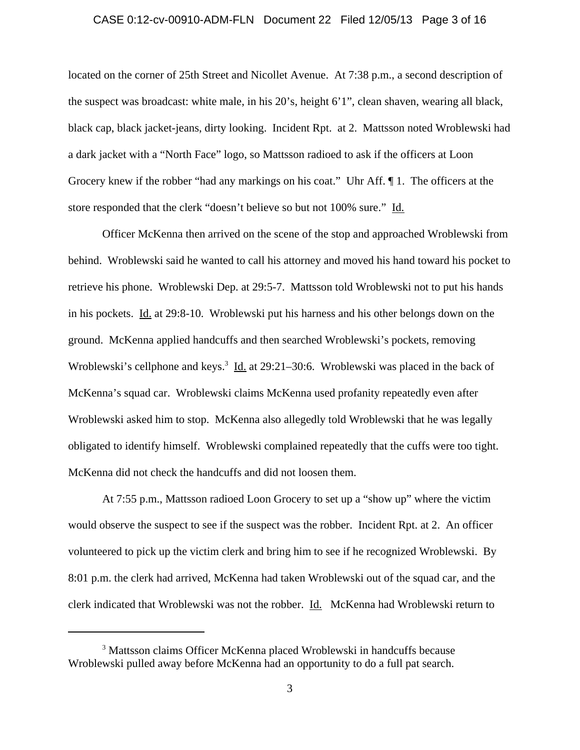## CASE 0:12-cv-00910-ADM-FLN Document 22 Filed 12/05/13 Page 3 of 16

located on the corner of 25th Street and Nicollet Avenue. At 7:38 p.m., a second description of the suspect was broadcast: white male, in his 20's, height 6'1", clean shaven, wearing all black, black cap, black jacket-jeans, dirty looking. Incident Rpt. at 2. Mattsson noted Wroblewski had a dark jacket with a "North Face" logo, so Mattsson radioed to ask if the officers at Loon Grocery knew if the robber "had any markings on his coat." Uhr Aff. ¶ 1. The officers at the store responded that the clerk "doesn't believe so but not 100% sure." Id.

Officer McKenna then arrived on the scene of the stop and approached Wroblewski from behind. Wroblewski said he wanted to call his attorney and moved his hand toward his pocket to retrieve his phone. Wroblewski Dep. at 29:5-7. Mattsson told Wroblewski not to put his hands in his pockets. Id. at 29:8-10. Wroblewski put his harness and his other belongs down on the ground. McKenna applied handcuffs and then searched Wroblewski's pockets, removing Wroblewski's cellphone and keys.<sup>3</sup> Id. at 29:21–30:6. Wroblewski was placed in the back of McKenna's squad car. Wroblewski claims McKenna used profanity repeatedly even after Wroblewski asked him to stop. McKenna also allegedly told Wroblewski that he was legally obligated to identify himself. Wroblewski complained repeatedly that the cuffs were too tight. McKenna did not check the handcuffs and did not loosen them.

At 7:55 p.m., Mattsson radioed Loon Grocery to set up a "show up" where the victim would observe the suspect to see if the suspect was the robber. Incident Rpt. at 2. An officer volunteered to pick up the victim clerk and bring him to see if he recognized Wroblewski. By 8:01 p.m. the clerk had arrived, McKenna had taken Wroblewski out of the squad car, and the clerk indicated that Wroblewski was not the robber. Id. McKenna had Wroblewski return to

<sup>&</sup>lt;sup>3</sup> Mattsson claims Officer McKenna placed Wroblewski in handcuffs because Wroblewski pulled away before McKenna had an opportunity to do a full pat search.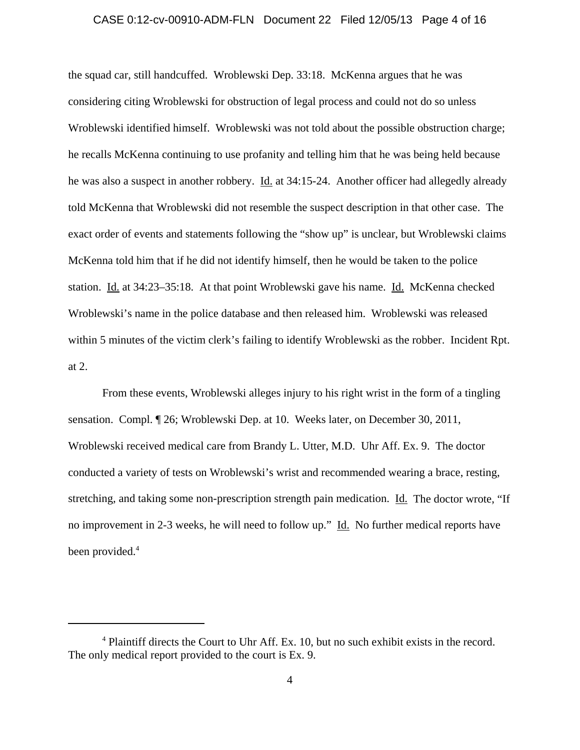## CASE 0:12-cv-00910-ADM-FLN Document 22 Filed 12/05/13 Page 4 of 16

the squad car, still handcuffed. Wroblewski Dep. 33:18. McKenna argues that he was considering citing Wroblewski for obstruction of legal process and could not do so unless Wroblewski identified himself. Wroblewski was not told about the possible obstruction charge; he recalls McKenna continuing to use profanity and telling him that he was being held because he was also a suspect in another robbery. <u>Id.</u> at 34:15-24. Another officer had allegedly already told McKenna that Wroblewski did not resemble the suspect description in that other case. The exact order of events and statements following the "show up" is unclear, but Wroblewski claims McKenna told him that if he did not identify himself, then he would be taken to the police station. Id. at 34:23–35:18. At that point Wroblewski gave his name. Id. McKenna checked Wroblewski's name in the police database and then released him. Wroblewski was released within 5 minutes of the victim clerk's failing to identify Wroblewski as the robber. Incident Rpt. at 2.

From these events, Wroblewski alleges injury to his right wrist in the form of a tingling sensation. Compl. ¶ 26; Wroblewski Dep. at 10. Weeks later, on December 30, 2011, Wroblewski received medical care from Brandy L. Utter, M.D. Uhr Aff. Ex. 9. The doctor conducted a variety of tests on Wroblewski's wrist and recommended wearing a brace, resting, stretching, and taking some non-prescription strength pain medication. Id. The doctor wrote, "If no improvement in 2-3 weeks, he will need to follow up." Id. No further medical reports have been provided.<sup>4</sup>

<sup>&</sup>lt;sup>4</sup> Plaintiff directs the Court to Uhr Aff. Ex. 10, but no such exhibit exists in the record. The only medical report provided to the court is Ex. 9.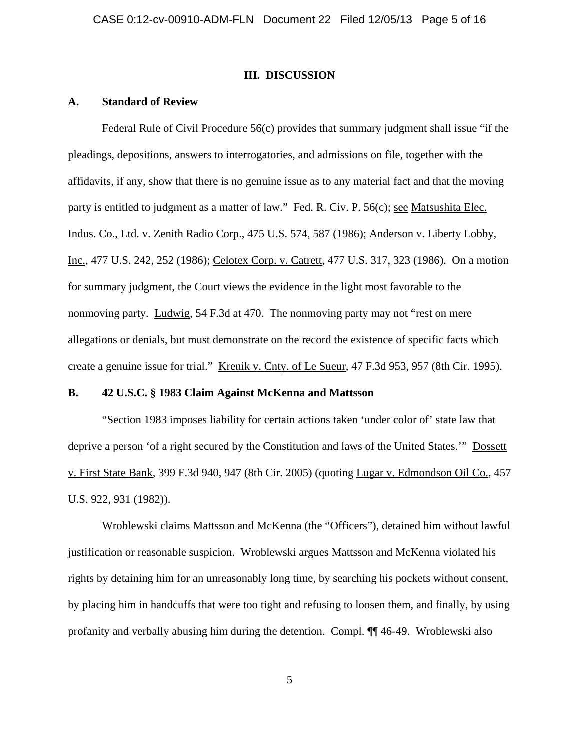### **III. DISCUSSION**

#### **A. Standard of Review**

Federal Rule of Civil Procedure 56(c) provides that summary judgment shall issue "if the pleadings, depositions, answers to interrogatories, and admissions on file, together with the affidavits, if any, show that there is no genuine issue as to any material fact and that the moving party is entitled to judgment as a matter of law." Fed. R. Civ. P. 56(c); see Matsushita Elec. Indus. Co., Ltd. v. Zenith Radio Corp., 475 U.S. 574, 587 (1986); Anderson v. Liberty Lobby, Inc., 477 U.S. 242, 252 (1986); Celotex Corp. v. Catrett, 477 U.S. 317, 323 (1986). On a motion for summary judgment, the Court views the evidence in the light most favorable to the nonmoving party. Ludwig, 54 F.3d at 470. The nonmoving party may not "rest on mere allegations or denials, but must demonstrate on the record the existence of specific facts which create a genuine issue for trial." Krenik v. Cnty. of Le Sueur, 47 F.3d 953, 957 (8th Cir. 1995).

## **B. 42 U.S.C. § 1983 Claim Against McKenna and Mattsson**

"Section 1983 imposes liability for certain actions taken 'under color of' state law that deprive a person 'of a right secured by the Constitution and laws of the United States.'" Dossett v. First State Bank, 399 F.3d 940, 947 (8th Cir. 2005) (quoting Lugar v. Edmondson Oil Co., 457 U.S. 922, 931 (1982)).

Wroblewski claims Mattsson and McKenna (the "Officers"), detained him without lawful justification or reasonable suspicion. Wroblewski argues Mattsson and McKenna violated his rights by detaining him for an unreasonably long time, by searching his pockets without consent, by placing him in handcuffs that were too tight and refusing to loosen them, and finally, by using profanity and verbally abusing him during the detention. Compl. ¶¶ 46-49. Wroblewski also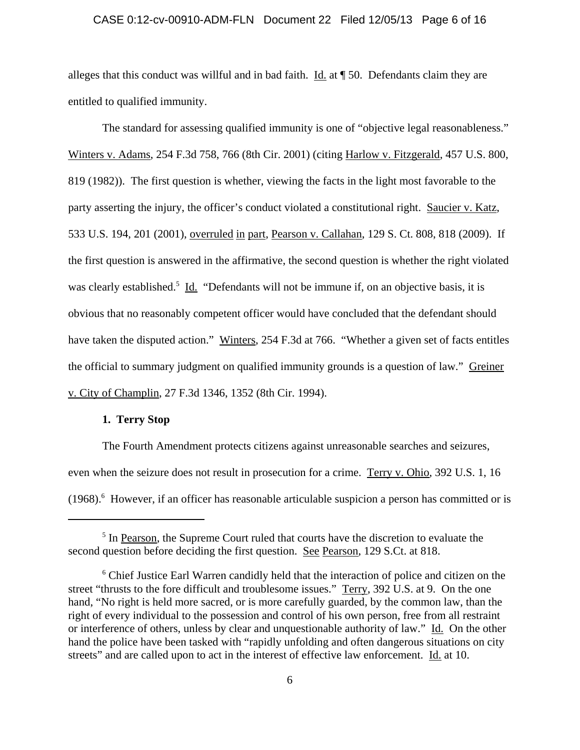## CASE 0:12-cv-00910-ADM-FLN Document 22 Filed 12/05/13 Page 6 of 16

alleges that this conduct was willful and in bad faith.  $\underline{Id}$  at  $\P$  50. Defendants claim they are entitled to qualified immunity.

The standard for assessing qualified immunity is one of "objective legal reasonableness." Winters v. Adams, 254 F.3d 758, 766 (8th Cir. 2001) (citing Harlow v. Fitzgerald, 457 U.S. 800, 819 (1982)). The first question is whether, viewing the facts in the light most favorable to the party asserting the injury, the officer's conduct violated a constitutional right. Saucier v. Katz, 533 U.S. 194, 201 (2001), overruled in part, Pearson v. Callahan, 129 S. Ct. 808, 818 (2009). If the first question is answered in the affirmative, the second question is whether the right violated was clearly established.<sup>5</sup> Id. "Defendants will not be immune if, on an objective basis, it is obvious that no reasonably competent officer would have concluded that the defendant should have taken the disputed action." Winters, 254 F.3d at 766. "Whether a given set of facts entitles the official to summary judgment on qualified immunity grounds is a question of law." Greiner v. City of Champlin, 27 F.3d 1346, 1352 (8th Cir. 1994).

## **1. Terry Stop**

The Fourth Amendment protects citizens against unreasonable searches and seizures, even when the seizure does not result in prosecution for a crime. Terry v. Ohio, 392 U.S. 1, 16 (1968).<sup>6</sup> However, if an officer has reasonable articulable suspicion a person has committed or is

<sup>&</sup>lt;sup>5</sup> In Pearson, the Supreme Court ruled that courts have the discretion to evaluate the second question before deciding the first question. See Pearson, 129 S.Ct. at 818.

<sup>&</sup>lt;sup>6</sup> Chief Justice Earl Warren candidly held that the interaction of police and citizen on the street "thrusts to the fore difficult and troublesome issues." Terry, 392 U.S. at 9. On the one hand, "No right is held more sacred, or is more carefully guarded, by the common law, than the right of every individual to the possession and control of his own person, free from all restraint or interference of others, unless by clear and unquestionable authority of law." Id. On the other hand the police have been tasked with "rapidly unfolding and often dangerous situations on city streets" and are called upon to act in the interest of effective law enforcement. Id. at 10.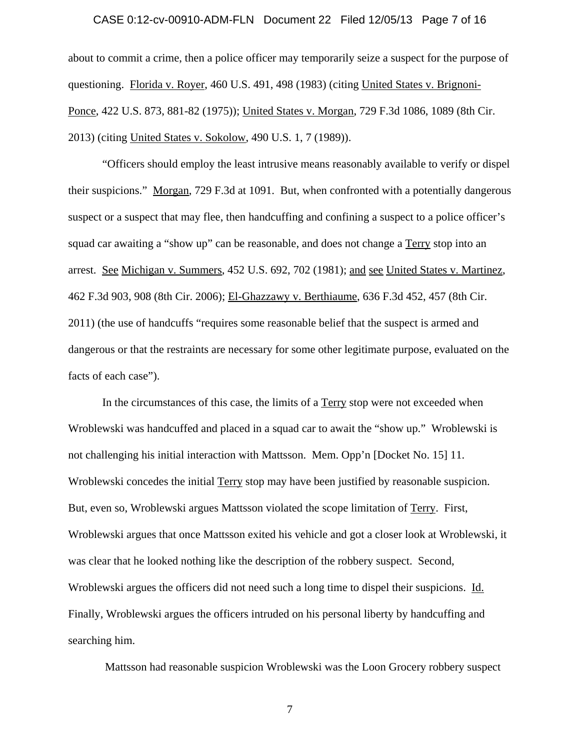## CASE 0:12-cv-00910-ADM-FLN Document 22 Filed 12/05/13 Page 7 of 16

about to commit a crime, then a police officer may temporarily seize a suspect for the purpose of questioning. Florida v. Royer, 460 U.S. 491, 498 (1983) (citing United States v. Brignoni-Ponce, 422 U.S. 873, 881-82 (1975)); United States v. Morgan, 729 F.3d 1086, 1089 (8th Cir. 2013) (citing United States v. Sokolow, 490 U.S. 1, 7 (1989)).

"Officers should employ the least intrusive means reasonably available to verify or dispel their suspicions." Morgan, 729 F.3d at 1091. But, when confronted with a potentially dangerous suspect or a suspect that may flee, then handcuffing and confining a suspect to a police officer's squad car awaiting a "show up" can be reasonable, and does not change a Terry stop into an arrest. See Michigan v. Summers, 452 U.S. 692, 702 (1981); and see United States v. Martinez, 462 F.3d 903, 908 (8th Cir. 2006); El-Ghazzawy v. Berthiaume, 636 F.3d 452, 457 (8th Cir. 2011) (the use of handcuffs "requires some reasonable belief that the suspect is armed and dangerous or that the restraints are necessary for some other legitimate purpose, evaluated on the facts of each case").

In the circumstances of this case, the limits of a Terry stop were not exceeded when Wroblewski was handcuffed and placed in a squad car to await the "show up." Wroblewski is not challenging his initial interaction with Mattsson. Mem. Opp'n [Docket No. 15] 11. Wroblewski concedes the initial Terry stop may have been justified by reasonable suspicion. But, even so, Wroblewski argues Mattsson violated the scope limitation of Terry. First, Wroblewski argues that once Mattsson exited his vehicle and got a closer look at Wroblewski, it was clear that he looked nothing like the description of the robbery suspect. Second, Wroblewski argues the officers did not need such a long time to dispel their suspicions. Id. Finally, Wroblewski argues the officers intruded on his personal liberty by handcuffing and searching him.

Mattsson had reasonable suspicion Wroblewski was the Loon Grocery robbery suspect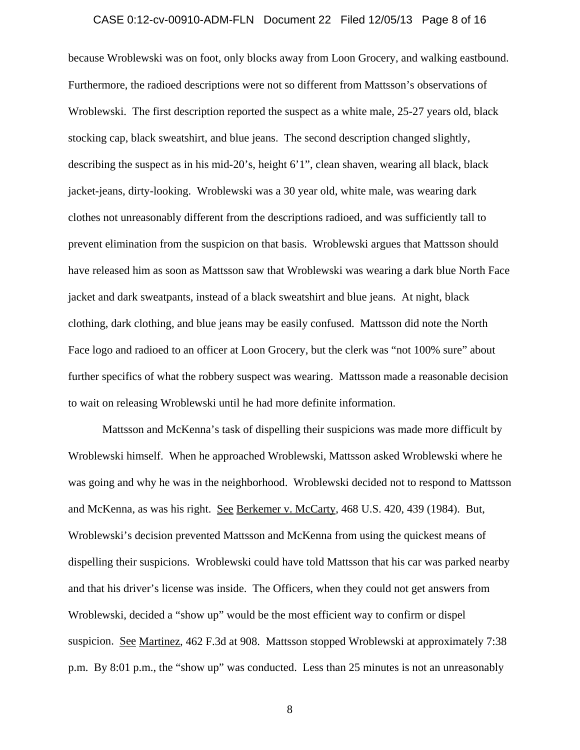### CASE 0:12-cv-00910-ADM-FLN Document 22 Filed 12/05/13 Page 8 of 16

because Wroblewski was on foot, only blocks away from Loon Grocery, and walking eastbound. Furthermore, the radioed descriptions were not so different from Mattsson's observations of Wroblewski. The first description reported the suspect as a white male, 25-27 years old, black stocking cap, black sweatshirt, and blue jeans. The second description changed slightly, describing the suspect as in his mid-20's, height 6'1", clean shaven, wearing all black, black jacket-jeans, dirty-looking. Wroblewski was a 30 year old, white male, was wearing dark clothes not unreasonably different from the descriptions radioed, and was sufficiently tall to prevent elimination from the suspicion on that basis. Wroblewski argues that Mattsson should have released him as soon as Mattsson saw that Wroblewski was wearing a dark blue North Face jacket and dark sweatpants, instead of a black sweatshirt and blue jeans. At night, black clothing, dark clothing, and blue jeans may be easily confused. Mattsson did note the North Face logo and radioed to an officer at Loon Grocery, but the clerk was "not 100% sure" about further specifics of what the robbery suspect was wearing. Mattsson made a reasonable decision to wait on releasing Wroblewski until he had more definite information.

Mattsson and McKenna's task of dispelling their suspicions was made more difficult by Wroblewski himself. When he approached Wroblewski, Mattsson asked Wroblewski where he was going and why he was in the neighborhood. Wroblewski decided not to respond to Mattsson and McKenna, as was his right. See Berkemer v. McCarty, 468 U.S. 420, 439 (1984). But, Wroblewski's decision prevented Mattsson and McKenna from using the quickest means of dispelling their suspicions. Wroblewski could have told Mattsson that his car was parked nearby and that his driver's license was inside. The Officers, when they could not get answers from Wroblewski, decided a "show up" would be the most efficient way to confirm or dispel suspicion. See Martinez, 462 F.3d at 908. Mattsson stopped Wroblewski at approximately 7:38 p.m. By 8:01 p.m., the "show up" was conducted. Less than 25 minutes is not an unreasonably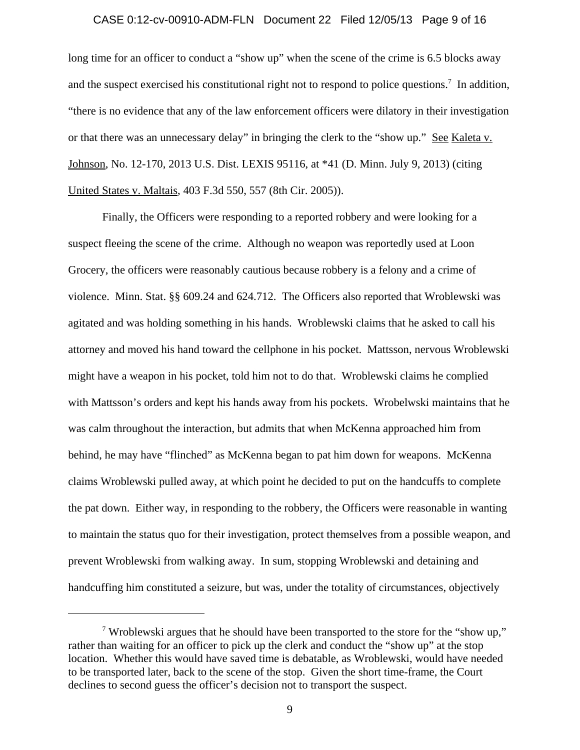#### CASE 0:12-cv-00910-ADM-FLN Document 22 Filed 12/05/13 Page 9 of 16

long time for an officer to conduct a "show up" when the scene of the crime is 6.5 blocks away and the suspect exercised his constitutional right not to respond to police questions.<sup>7</sup> In addition, "there is no evidence that any of the law enforcement officers were dilatory in their investigation or that there was an unnecessary delay" in bringing the clerk to the "show up." See Kaleta v. Johnson, No. 12-170, 2013 U.S. Dist. LEXIS 95116, at \*41 (D. Minn. July 9, 2013) (citing United States v. Maltais, 403 F.3d 550, 557 (8th Cir. 2005)).

Finally, the Officers were responding to a reported robbery and were looking for a suspect fleeing the scene of the crime. Although no weapon was reportedly used at Loon Grocery, the officers were reasonably cautious because robbery is a felony and a crime of violence. Minn. Stat. §§ 609.24 and 624.712. The Officers also reported that Wroblewski was agitated and was holding something in his hands. Wroblewski claims that he asked to call his attorney and moved his hand toward the cellphone in his pocket. Mattsson, nervous Wroblewski might have a weapon in his pocket, told him not to do that. Wroblewski claims he complied with Mattsson's orders and kept his hands away from his pockets. Wrobelwski maintains that he was calm throughout the interaction, but admits that when McKenna approached him from behind, he may have "flinched" as McKenna began to pat him down for weapons. McKenna claims Wroblewski pulled away, at which point he decided to put on the handcuffs to complete the pat down. Either way, in responding to the robbery, the Officers were reasonable in wanting to maintain the status quo for their investigation, protect themselves from a possible weapon, and prevent Wroblewski from walking away. In sum, stopping Wroblewski and detaining and handcuffing him constituted a seizure, but was, under the totality of circumstances, objectively

<sup>&</sup>lt;sup>7</sup> Wroblewski argues that he should have been transported to the store for the "show up," rather than waiting for an officer to pick up the clerk and conduct the "show up" at the stop location. Whether this would have saved time is debatable, as Wroblewski, would have needed to be transported later, back to the scene of the stop. Given the short time-frame, the Court declines to second guess the officer's decision not to transport the suspect.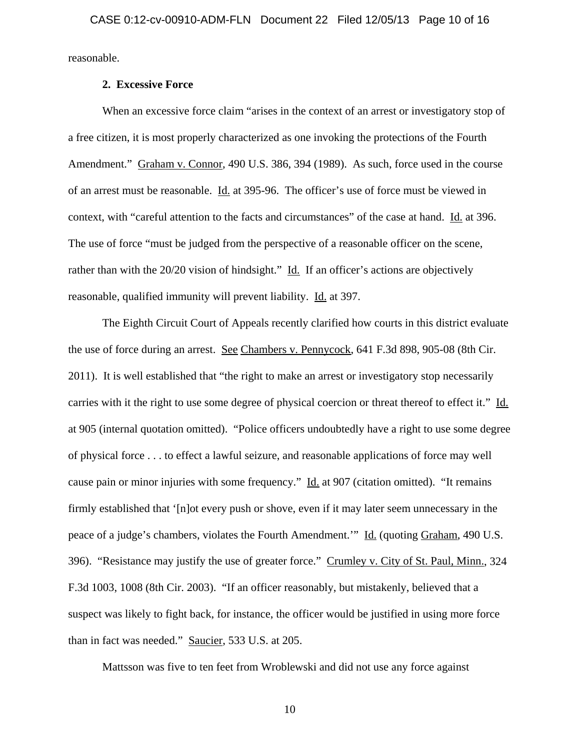reasonable.

## **2. Excessive Force**

When an excessive force claim "arises in the context of an arrest or investigatory stop of a free citizen, it is most properly characterized as one invoking the protections of the Fourth Amendment." Graham v. Connor, 490 U.S. 386, 394 (1989). As such, force used in the course of an arrest must be reasonable. Id. at 395-96. The officer's use of force must be viewed in context, with "careful attention to the facts and circumstances" of the case at hand. Id. at 396. The use of force "must be judged from the perspective of a reasonable officer on the scene, rather than with the  $20/20$  vision of hindsight." Id. If an officer's actions are objectively reasonable, qualified immunity will prevent liability. Id. at 397.

The Eighth Circuit Court of Appeals recently clarified how courts in this district evaluate the use of force during an arrest. See Chambers v. Pennycock, 641 F.3d 898, 905-08 (8th Cir. 2011). It is well established that "the right to make an arrest or investigatory stop necessarily carries with it the right to use some degree of physical coercion or threat thereof to effect it." Id. at 905 (internal quotation omitted). "Police officers undoubtedly have a right to use some degree of physical force . . . to effect a lawful seizure, and reasonable applications of force may well cause pain or minor injuries with some frequency." Id. at 907 (citation omitted). "It remains firmly established that '[n]ot every push or shove, even if it may later seem unnecessary in the peace of a judge's chambers, violates the Fourth Amendment." Id. (quoting Graham, 490 U.S. 396). "Resistance may justify the use of greater force." Crumley v. City of St. Paul, Minn., 324 F.3d 1003, 1008 (8th Cir. 2003). "If an officer reasonably, but mistakenly, believed that a suspect was likely to fight back, for instance, the officer would be justified in using more force than in fact was needed." Saucier, 533 U.S. at 205.

Mattsson was five to ten feet from Wroblewski and did not use any force against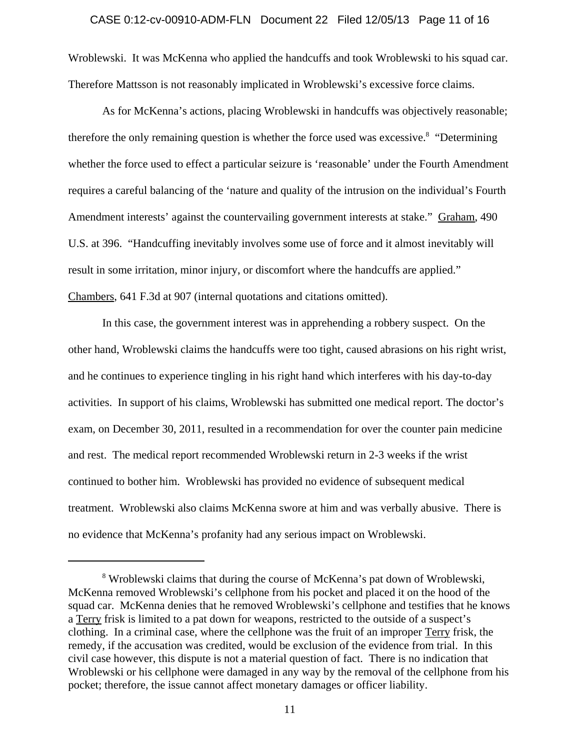#### CASE 0:12-cv-00910-ADM-FLN Document 22 Filed 12/05/13 Page 11 of 16

Wroblewski. It was McKenna who applied the handcuffs and took Wroblewski to his squad car. Therefore Mattsson is not reasonably implicated in Wroblewski's excessive force claims.

As for McKenna's actions, placing Wroblewski in handcuffs was objectively reasonable; therefore the only remaining question is whether the force used was excessive.<sup>8</sup> "Determining whether the force used to effect a particular seizure is 'reasonable' under the Fourth Amendment requires a careful balancing of the 'nature and quality of the intrusion on the individual's Fourth Amendment interests' against the countervailing government interests at stake." Graham, 490 U.S. at 396. "Handcuffing inevitably involves some use of force and it almost inevitably will result in some irritation, minor injury, or discomfort where the handcuffs are applied." Chambers, 641 F.3d at 907 (internal quotations and citations omitted).

In this case, the government interest was in apprehending a robbery suspect. On the other hand, Wroblewski claims the handcuffs were too tight, caused abrasions on his right wrist, and he continues to experience tingling in his right hand which interferes with his day-to-day activities. In support of his claims, Wroblewski has submitted one medical report. The doctor's exam, on December 30, 2011, resulted in a recommendation for over the counter pain medicine and rest. The medical report recommended Wroblewski return in 2-3 weeks if the wrist continued to bother him. Wroblewski has provided no evidence of subsequent medical treatment. Wroblewski also claims McKenna swore at him and was verbally abusive. There is no evidence that McKenna's profanity had any serious impact on Wroblewski.

<sup>&</sup>lt;sup>8</sup> Wroblewski claims that during the course of McKenna's pat down of Wroblewski, McKenna removed Wroblewski's cellphone from his pocket and placed it on the hood of the squad car. McKenna denies that he removed Wroblewski's cellphone and testifies that he knows a Terry frisk is limited to a pat down for weapons, restricted to the outside of a suspect's clothing. In a criminal case, where the cellphone was the fruit of an improper Terry frisk, the remedy, if the accusation was credited, would be exclusion of the evidence from trial. In this civil case however, this dispute is not a material question of fact. There is no indication that Wroblewski or his cellphone were damaged in any way by the removal of the cellphone from his pocket; therefore, the issue cannot affect monetary damages or officer liability.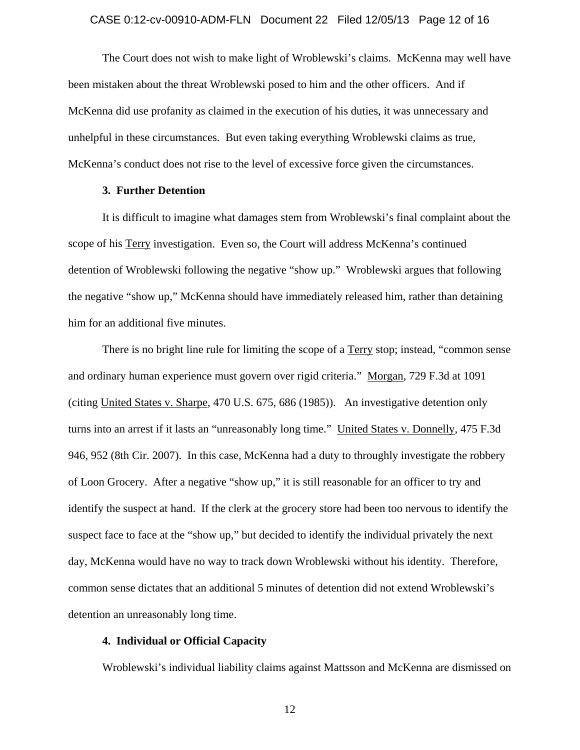The Court does not wish to make light of Wroblewski's claims. McKenna may well have been mistaken about the threat Wroblewski posed to him and the other officers. And if McKenna did use profanity as claimed in the execution of his duties, it was unnecessary and unhelpful in these circumstances. But even taking everything Wroblewski claims as true, McKenna's conduct does not rise to the level of excessive force given the circumstances.

## **3. Further Detention**

It is difficult to imagine what damages stem from Wroblewski's final complaint about the scope of his Terry investigation. Even so, the Court will address McKenna's continued detention of Wroblewski following the negative "show up." Wroblewski argues that following the negative "show up," McKenna should have immediately released him, rather than detaining him for an additional five minutes.

There is no bright line rule for limiting the scope of a Terry stop; instead, "common sense and ordinary human experience must govern over rigid criteria." Morgan, 729 F.3d at 1091 (citing United States v. Sharpe, 470 U.S. 675, 686 (1985)). An investigative detention only turns into an arrest if it lasts an "unreasonably long time." United States v. Donnelly, 475 F.3d 946, 952 (8th Cir. 2007). In this case, McKenna had a duty to throughly investigate the robbery of Loon Grocery. After a negative "show up," it is still reasonable for an officer to try and identify the suspect at hand. If the clerk at the grocery store had been too nervous to identify the suspect face to face at the "show up," but decided to identify the individual privately the next day, McKenna would have no way to track down Wroblewski without his identity. Therefore, common sense dictates that an additional 5 minutes of detention did not extend Wroblewski's detention an unreasonably long time.

## **4. Individual or Official Capacity**

Wroblewski's individual liability claims against Mattsson and McKenna are dismissed on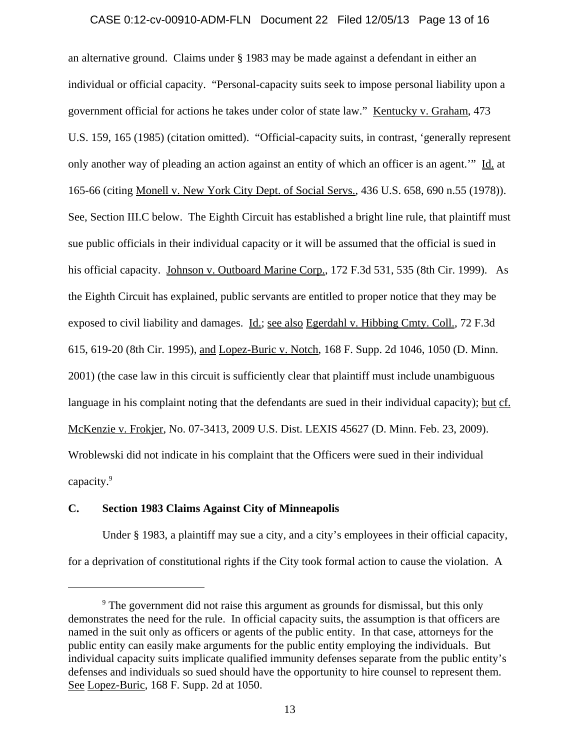## CASE 0:12-cv-00910-ADM-FLN Document 22 Filed 12/05/13 Page 13 of 16

an alternative ground. Claims under § 1983 may be made against a defendant in either an individual or official capacity. "Personal-capacity suits seek to impose personal liability upon a government official for actions he takes under color of state law." Kentucky v. Graham, 473 U.S. 159, 165 (1985) (citation omitted). "Official-capacity suits, in contrast, 'generally represent only another way of pleading an action against an entity of which an officer is an agent.'" Id. at 165-66 (citing Monell v. New York City Dept. of Social Servs., 436 U.S. 658, 690 n.55 (1978)). See, Section III.C below. The Eighth Circuit has established a bright line rule, that plaintiff must sue public officials in their individual capacity or it will be assumed that the official is sued in his official capacity. Johnson v. Outboard Marine Corp., 172 F.3d 531, 535 (8th Cir. 1999). As the Eighth Circuit has explained, public servants are entitled to proper notice that they may be exposed to civil liability and damages. Id.; see also Egerdahl v. Hibbing Cmty. Coll., 72 F.3d 615, 619-20 (8th Cir. 1995), and Lopez-Buric v. Notch, 168 F. Supp. 2d 1046, 1050 (D. Minn. 2001) (the case law in this circuit is sufficiently clear that plaintiff must include unambiguous language in his complaint noting that the defendants are sued in their individual capacity); but cf. McKenzie v. Frokjer, No. 07-3413, 2009 U.S. Dist. LEXIS 45627 (D. Minn. Feb. 23, 2009). Wroblewski did not indicate in his complaint that the Officers were sued in their individual capacity.<sup>9</sup>

## **C. Section 1983 Claims Against City of Minneapolis**

Under § 1983, a plaintiff may sue a city, and a city's employees in their official capacity, for a deprivation of constitutional rights if the City took formal action to cause the violation. A

<sup>&</sup>lt;sup>9</sup> The government did not raise this argument as grounds for dismissal, but this only demonstrates the need for the rule. In official capacity suits, the assumption is that officers are named in the suit only as officers or agents of the public entity. In that case, attorneys for the public entity can easily make arguments for the public entity employing the individuals. But individual capacity suits implicate qualified immunity defenses separate from the public entity's defenses and individuals so sued should have the opportunity to hire counsel to represent them. See Lopez-Buric, 168 F. Supp. 2d at 1050.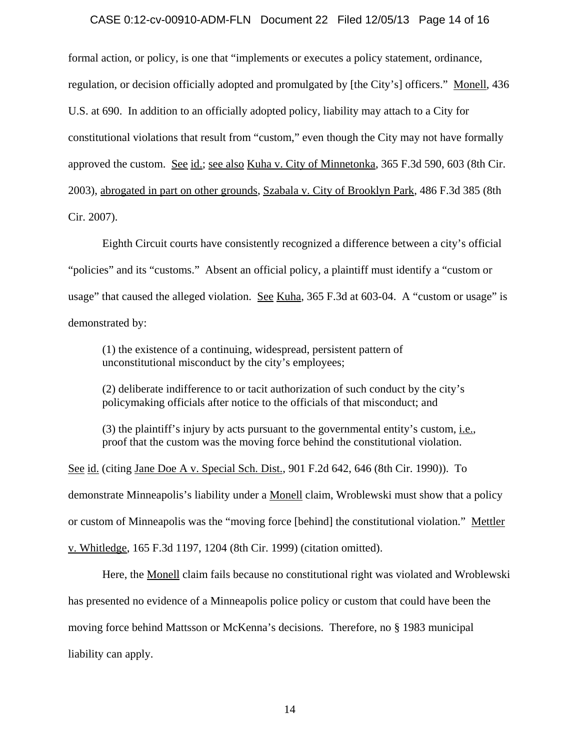## CASE 0:12-cv-00910-ADM-FLN Document 22 Filed 12/05/13 Page 14 of 16

formal action, or policy, is one that "implements or executes a policy statement, ordinance, regulation, or decision officially adopted and promulgated by [the City's] officers." Monell, 436 U.S. at 690. In addition to an officially adopted policy, liability may attach to a City for constitutional violations that result from "custom," even though the City may not have formally approved the custom. See id.; see also Kuha v. City of Minnetonka, 365 F.3d 590, 603 (8th Cir. 2003), abrogated in part on other grounds, Szabala v. City of Brooklyn Park, 486 F.3d 385 (8th Cir. 2007).

Eighth Circuit courts have consistently recognized a difference between a city's official "policies" and its "customs." Absent an official policy, a plaintiff must identify a "custom or usage" that caused the alleged violation. See Kuha, 365 F.3d at 603-04. A "custom or usage" is demonstrated by:

(1) the existence of a continuing, widespread, persistent pattern of unconstitutional misconduct by the city's employees;

(2) deliberate indifference to or tacit authorization of such conduct by the city's policymaking officials after notice to the officials of that misconduct; and

(3) the plaintiff's injury by acts pursuant to the governmental entity's custom, i.e., proof that the custom was the moving force behind the constitutional violation.

See id. (citing Jane Doe A v. Special Sch. Dist., 901 F.2d 642, 646 (8th Cir. 1990)). To demonstrate Minneapolis's liability under a Monell claim, Wroblewski must show that a policy or custom of Minneapolis was the "moving force [behind] the constitutional violation." Mettler v. Whitledge, 165 F.3d 1197, 1204 (8th Cir. 1999) (citation omitted).

Here, the Monell claim fails because no constitutional right was violated and Wroblewski has presented no evidence of a Minneapolis police policy or custom that could have been the moving force behind Mattsson or McKenna's decisions. Therefore, no § 1983 municipal liability can apply.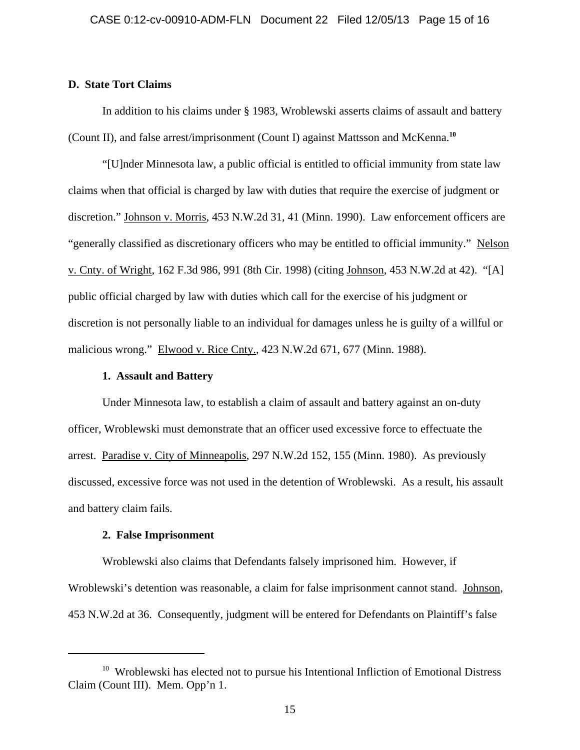## **D. State Tort Claims**

In addition to his claims under § 1983, Wroblewski asserts claims of assault and battery (Count II), and false arrest/imprisonment (Count I) against Mattsson and McKenna.**<sup>10</sup>**

"[U]nder Minnesota law, a public official is entitled to official immunity from state law claims when that official is charged by law with duties that require the exercise of judgment or discretion." Johnson v. Morris, 453 N.W.2d 31, 41 (Minn. 1990). Law enforcement officers are "generally classified as discretionary officers who may be entitled to official immunity." Nelson v. Cnty. of Wright, 162 F.3d 986, 991 (8th Cir. 1998) (citing Johnson, 453 N.W.2d at 42). "[A] public official charged by law with duties which call for the exercise of his judgment or discretion is not personally liable to an individual for damages unless he is guilty of a willful or malicious wrong." Elwood v. Rice Cnty., 423 N.W.2d 671, 677 (Minn. 1988).

## **1. Assault and Battery**

Under Minnesota law, to establish a claim of assault and battery against an on-duty officer, Wroblewski must demonstrate that an officer used excessive force to effectuate the arrest. Paradise v. City of Minneapolis, 297 N.W.2d 152, 155 (Minn. 1980). As previously discussed, excessive force was not used in the detention of Wroblewski. As a result, his assault and battery claim fails.

#### **2. False Imprisonment**

Wroblewski also claims that Defendants falsely imprisoned him. However, if Wroblewski's detention was reasonable, a claim for false imprisonment cannot stand. Johnson, 453 N.W.2d at 36. Consequently, judgment will be entered for Defendants on Plaintiff's false

<sup>&</sup>lt;sup>10</sup> Wroblewski has elected not to pursue his Intentional Infliction of Emotional Distress Claim (Count III). Mem. Opp'n 1.